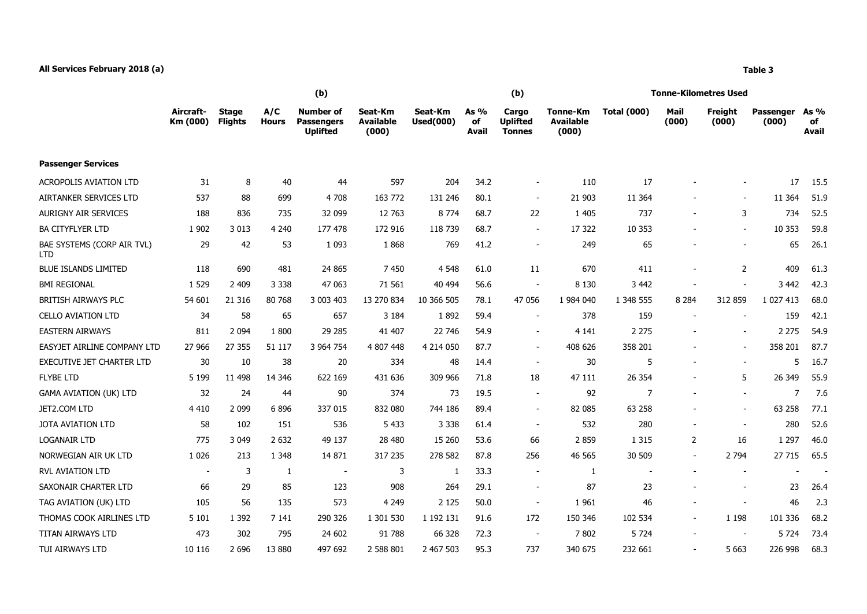|                                          |                          | (b)                            |              |                                                          |                                      |                             |                            | (b)                                       |                                       | <b>Tonne-Kilometres Used</b> |                |                          |                    |                              |  |
|------------------------------------------|--------------------------|--------------------------------|--------------|----------------------------------------------------------|--------------------------------------|-----------------------------|----------------------------|-------------------------------------------|---------------------------------------|------------------------------|----------------|--------------------------|--------------------|------------------------------|--|
|                                          | Aircraft-<br>Km (000)    | <b>Stage</b><br><b>Flights</b> | A/C<br>Hours | <b>Number of</b><br><b>Passengers</b><br><b>Uplifted</b> | Seat-Km<br><b>Available</b><br>(000) | Seat-Km<br><b>Used(000)</b> | As %<br>of<br><b>Avail</b> | Cargo<br><b>Uplifted</b><br><b>Tonnes</b> | Tonne-Km<br><b>Available</b><br>(000) | <b>Total (000)</b>           | Mail<br>(000)  | Freight<br>(000)         | Passenger<br>(000) | As $%$<br>of<br><b>Avail</b> |  |
| <b>Passenger Services</b>                |                          |                                |              |                                                          |                                      |                             |                            |                                           |                                       |                              |                |                          |                    |                              |  |
| <b>ACROPOLIS AVIATION LTD</b>            | 31                       | 8                              | 40           | 44                                                       | 597                                  | 204                         | 34.2                       | $\overline{\phantom{a}}$                  | 110                                   | 17                           |                |                          | 17                 | 15.5                         |  |
| AIRTANKER SERVICES LTD                   | 537                      | 88                             | 699          | 4708                                                     | 163 772                              | 131 246                     | 80.1                       | $\blacksquare$                            | 21 903                                | 11 3 64                      |                |                          | 11 3 64            | 51.9                         |  |
| <b>AURIGNY AIR SERVICES</b>              | 188                      | 836                            | 735          | 32 099                                                   | 12 763                               | 8 7 7 4                     | 68.7                       | 22                                        | 1 4 0 5                               | 737                          |                | 3                        | 734                | 52.5                         |  |
| BA CITYFLYER LTD                         | 1 9 0 2                  | 3 0 1 3                        | 4 2 4 0      | 177 478                                                  | 172 916                              | 118 739                     | 68.7                       | $\blacksquare$                            | 17 322                                | 10 353                       |                | $\blacksquare$           | 10 353             | 59.8                         |  |
| BAE SYSTEMS (CORP AIR TVL)<br><b>LTD</b> | 29                       | 42                             | 53           | 1 0 9 3                                                  | 1868                                 | 769                         | 41.2                       |                                           | 249                                   | 65                           |                |                          | 65                 | 26.1                         |  |
| <b>BLUE ISLANDS LIMITED</b>              | 118                      | 690                            | 481          | 24 8 65                                                  | 7450                                 | 4 5 4 8                     | 61.0                       | 11                                        | 670                                   | 411                          |                | $\overline{2}$           | 409                | 61.3                         |  |
| <b>BMI REGIONAL</b>                      | 1 5 2 9                  | 2 4 0 9                        | 3 3 3 8      | 47 063                                                   | 71 561                               | 40 494                      | 56.6                       | $\blacksquare$                            | 8 1 3 0                               | 3 4 4 2                      |                |                          | 3 4 4 2            | 42.3                         |  |
| BRITISH AIRWAYS PLC                      | 54 601                   | 21 316                         | 80 768       | 3 003 403                                                | 13 270 834                           | 10 366 505                  | 78.1                       | 47 056                                    | 1 984 040                             | 1 348 555                    | 8 2 8 4        | 312 859                  | 1 027 413          | 68.0                         |  |
| <b>CELLO AVIATION LTD</b>                | 34                       | 58                             | 65           | 657                                                      | 3 1 8 4                              | 1892                        | 59.4                       | $\sim$                                    | 378                                   | 159                          |                |                          | 159                | 42.1                         |  |
| <b>EASTERN AIRWAYS</b>                   | 811                      | 2 0 9 4                        | 1800         | 29 28 5                                                  | 41 407                               | 22 746                      | 54.9                       | $\overline{\phantom{a}}$                  | 4 141                                 | 2 2 7 5                      |                | $\overline{\phantom{a}}$ | 2 2 7 5            | 54.9                         |  |
| EASYJET AIRLINE COMPANY LTD              | 27 966                   | 27 355                         | 51 117       | 3 964 754                                                | 4 807 448                            | 4 214 050                   | 87.7                       | $\blacksquare$                            | 408 626                               | 358 201                      |                | $\blacksquare$           | 358 201            | 87.7                         |  |
| <b>EXECUTIVE JET CHARTER LTD</b>         | 30                       | 10                             | 38           | 20                                                       | 334                                  | 48                          | 14.4                       | $\sim$                                    | 30                                    | 5                            |                | $\overline{\phantom{a}}$ | 5                  | 16.7                         |  |
| <b>FLYBE LTD</b>                         | 5 1 9 9                  | 11 498                         | 14 3 46      | 622 169                                                  | 431 636                              | 309 966                     | 71.8                       | 18                                        | 47 111                                | 26 354                       |                | 5                        | 26 349             | 55.9                         |  |
| <b>GAMA AVIATION (UK) LTD</b>            | 32                       | 24                             | 44           | 90                                                       | 374                                  | 73                          | 19.5                       | $\sim$                                    | 92                                    | 7                            |                | $\sim$                   | 7                  | 7.6                          |  |
| JET2.COM LTD                             | 4 4 1 0                  | 2 0 9 9                        | 6896         | 337 015                                                  | 832 080                              | 744 186                     | 89.4                       | $\overline{\phantom{a}}$                  | 82 085                                | 63 258                       |                | $\overline{\phantom{a}}$ | 63 258             | 77.1                         |  |
| JOTA AVIATION LTD                        | 58                       | 102                            | 151          | 536                                                      | 5 4 3 3                              | 3 3 3 8                     | 61.4                       | $\overline{\phantom{a}}$                  | 532                                   | 280                          |                | $\overline{\phantom{a}}$ | 280                | 52.6                         |  |
| <b>LOGANAIR LTD</b>                      | 775                      | 3 0 4 9                        | 2 6 3 2      | 49 137                                                   | 28 480                               | 15 260                      | 53.6                       | 66                                        | 2859                                  | 1 3 1 5                      | $\overline{2}$ | 16                       | 1 2 9 7            | 46.0                         |  |
| NORWEGIAN AIR UK LTD                     | 1 0 2 6                  | 213                            | 1 3 4 8      | 14 871                                                   | 317 235                              | 278 582                     | 87.8                       | 256                                       | 46 565                                | 30 509                       |                | 2 7 9 4                  | 27 715             | 65.5                         |  |
| <b>RVL AVIATION LTD</b>                  | $\overline{\phantom{a}}$ | 3                              | 1            | $\overline{\phantom{a}}$                                 | 3                                    | 1                           | 33.3                       | $\blacksquare$                            | 1                                     |                              |                |                          |                    |                              |  |
| SAXONAIR CHARTER LTD                     | 66                       | 29                             | 85           | 123                                                      | 908                                  | 264                         | 29.1                       | $\overline{\phantom{a}}$                  | 87                                    | 23                           |                |                          | 23                 | 26.4                         |  |
| TAG AVIATION (UK) LTD                    | 105                      | 56                             | 135          | 573                                                      | 4 2 4 9                              | 2 1 2 5                     | 50.0                       | $\blacksquare$                            | 1961                                  | 46                           |                |                          | 46                 | 2.3                          |  |
| THOMAS COOK AIRLINES LTD                 | 5 1 0 1                  | 1 3 9 2                        | 7 1 4 1      | 290 326                                                  | 1 301 530                            | 1 192 131                   | 91.6                       | 172                                       | 150 346                               | 102 534                      |                | 1 1 9 8                  | 101 336            | 68.2                         |  |
| TITAN AIRWAYS LTD                        | 473                      | 302                            | 795          | 24 602                                                   | 91 788                               | 66 328                      | 72.3                       | $\overline{\phantom{a}}$                  | 7802                                  | 5 7 2 4                      |                |                          | 5 7 2 4            | 73.4                         |  |
| TUI AIRWAYS LTD                          | 10 116                   | 2 6 9 6                        | 13 880       | 497 692                                                  | 2 588 801                            | 2 467 503                   | 95.3                       | 737                                       | 340 675                               | 232 661                      |                | 5 6 6 3                  | 226 998            | 68.3                         |  |